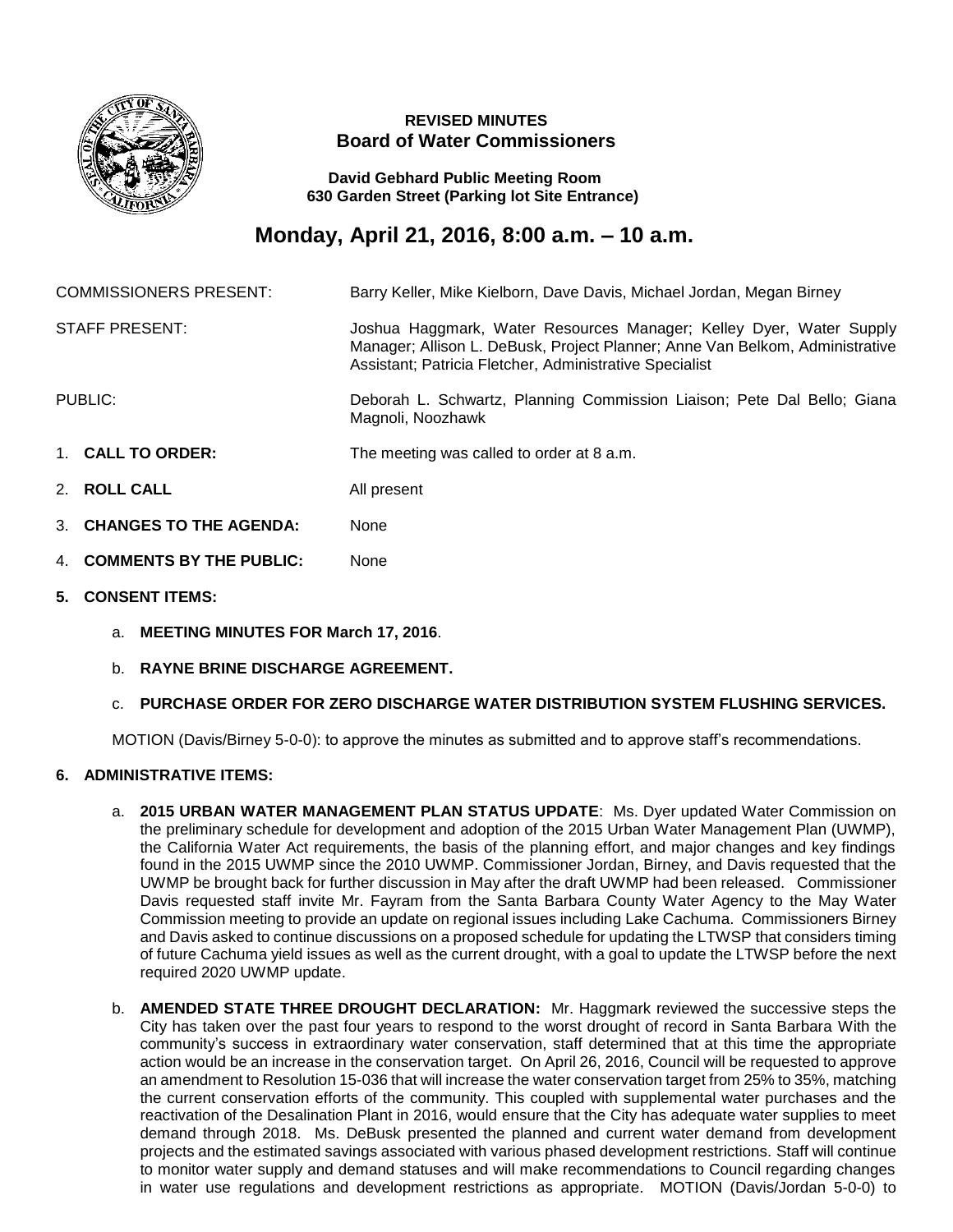

## **REVISED MINUTES Board of Water Commissioners**

 **David Gebhard Public Meeting Room 630 Garden Street (Parking lot Site Entrance)**

## **Monday, April 21, 2016, 8:00 a.m. – 10 a.m.**

| <b>COMMISSIONERS PRESENT:</b> |                               | Barry Keller, Mike Kielborn, Dave Davis, Michael Jordan, Megan Birney                                                                                                                                          |
|-------------------------------|-------------------------------|----------------------------------------------------------------------------------------------------------------------------------------------------------------------------------------------------------------|
| <b>STAFF PRESENT:</b>         |                               | Joshua Haggmark, Water Resources Manager; Kelley Dyer, Water Supply<br>Manager; Allison L. DeBusk, Project Planner; Anne Van Belkom, Administrative<br>Assistant; Patricia Fletcher, Administrative Specialist |
| PUBLIC:                       |                               | Deborah L. Schwartz, Planning Commission Liaison; Pete Dal Bello; Giana<br>Magnoli, Noozhawk                                                                                                                   |
|                               | 1. CALL TO ORDER:             | The meeting was called to order at 8 a.m.                                                                                                                                                                      |
|                               | 2. ROLL CALL                  | All present                                                                                                                                                                                                    |
|                               | <b>CHANGES TO THE AGENDA:</b> | None                                                                                                                                                                                                           |

- 4. **COMMENTS BY THE PUBLIC:** None
- **5. CONSENT ITEMS:**
	- a. **MEETING MINUTES FOR March 17, 2016**.
	- b. **RAYNE BRINE DISCHARGE AGREEMENT.**
	- c. **PURCHASE ORDER FOR ZERO DISCHARGE WATER DISTRIBUTION SYSTEM FLUSHING SERVICES.**

MOTION (Davis/Birney 5-0-0): to approve the minutes as submitted and to approve staff's recommendations.

## **6. ADMINISTRATIVE ITEMS:**

- a. **2015 URBAN WATER MANAGEMENT PLAN STATUS UPDATE**: Ms. Dyer updated Water Commission on the preliminary schedule for development and adoption of the 2015 Urban Water Management Plan (UWMP), the California Water Act requirements, the basis of the planning effort, and major changes and key findings found in the 2015 UWMP since the 2010 UWMP. Commissioner Jordan, Birney, and Davis requested that the UWMP be brought back for further discussion in May after the draft UWMP had been released. Commissioner Davis requested staff invite Mr. Fayram from the Santa Barbara County Water Agency to the May Water Commission meeting to provide an update on regional issues including Lake Cachuma. Commissioners Birney and Davis asked to continue discussions on a proposed schedule for updating the LTWSP that considers timing of future Cachuma yield issues as well as the current drought, with a goal to update the LTWSP before the next required 2020 UWMP update.
- b. **AMENDED STATE THREE DROUGHT DECLARATION:** Mr. Haggmark reviewed the successive steps the City has taken over the past four years to respond to the worst drought of record in Santa Barbara With the community's success in extraordinary water conservation, staff determined that at this time the appropriate action would be an increase in the conservation target. On April 26, 2016, Council will be requested to approve an amendment to Resolution 15-036 that will increase the water conservation target from 25% to 35%, matching the current conservation efforts of the community. This coupled with supplemental water purchases and the reactivation of the Desalination Plant in 2016, would ensure that the City has adequate water supplies to meet demand through 2018. Ms. DeBusk presented the planned and current water demand from development projects and the estimated savings associated with various phased development restrictions. Staff will continue to monitor water supply and demand statuses and will make recommendations to Council regarding changes in water use regulations and development restrictions as appropriate. MOTION (Davis/Jordan 5-0-0) to